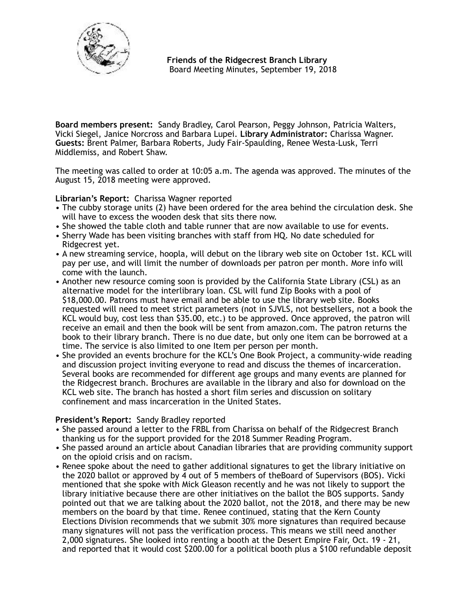

**Board members present:** Sandy Bradley, Carol Pearson, Peggy Johnson, Patricia Walters, Vicki Siegel, Janice Norcross and Barbara Lupei. **Library Administrator:** Charissa Wagner. **Guests:** Brent Palmer, Barbara Roberts, Judy Fair-Spaulding, Renee Westa-Lusk, Terri Middlemiss, and Robert Shaw.

The meeting was called to order at 10:05 a.m. The agenda was approved. The minutes of the August 15, 2018 meeting were approved.

**Librarian's Report:** Charissa Wagner reported

- The cubby storage units (2) have been ordered for the area behind the circulation desk. She will have to excess the wooden desk that sits there now.
- She showed the table cloth and table runner that are now available to use for events.
- Sherry Wade has been visiting branches with staff from HQ. No date scheduled for Ridgecrest yet.
- A new streaming service, hoopla, will debut on the library web site on October 1st. KCL will pay per use, and will limit the number of downloads per patron per month. More info will come with the launch.
- Another new resource coming soon is provided by the California State Library (CSL) as an alternative model for the interlibrary loan. CSL will fund Zip Books with a pool of \$18,000.00. Patrons must have email and be able to use the library web site. Books requested will need to meet strict parameters (not in SJVLS, not bestsellers, not a book the KCL would buy, cost less than \$35.00, etc.) to be approved. Once approved, the patron will receive an email and then the book will be sent from [amazon.com](http://amazon.com). The patron returns the book to their library branch. There is no due date, but only one item can be borrowed at a time. The service is also limited to one Item per person per month.
- She provided an events brochure for the KCL's One Book Project, a community-wide reading and discussion project inviting everyone to read and discuss the themes of incarceration. Several books are recommended for different age groups and many events are planned for the Ridgecrest branch. Brochures are available in the library and also for download on the KCL web site. The branch has hosted a short film series and discussion on solitary confinement and mass incarceration in the United States.

# **President's Report:** Sandy Bradley reported

- She passed around a letter to the FRBL from Charissa on behalf of the Ridgecrest Branch thanking us for the support provided for the 2018 Summer Reading Program.
- She passed around an article about Canadian libraries that are providing community support on the opioid crisis and on racism.
- Renee spoke about the need to gather additional signatures to get the library initiative on the 2020 ballot or approved by 4 out of 5 members of theBoard of Supervisors (BOS). Vicki mentioned that she spoke with Mick Gleason recently and he was not likely to support the library initiative because there are other initiatives on the ballot the BOS supports. Sandy pointed out that we are talking about the 2020 ballot, not the 2018, and there may be new members on the board by that time. Renee continued, stating that the Kern County Elections Division recommends that we submit 30% more signatures than required because many signatures will not pass the verification process. This means we still need another 2,000 signatures. She looked into renting a booth at the Desert Empire Fair, Oct. 19 - 21, and reported that it would cost \$200.00 for a political booth plus a \$100 refundable deposit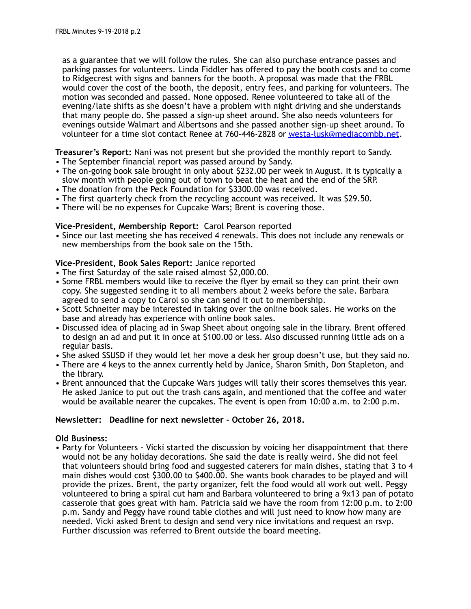as a guarantee that we will follow the rules. She can also purchase entrance passes and parking passes for volunteers. Linda Fiddler has offered to pay the booth costs and to come to Ridgecrest with signs and banners for the booth. A proposal was made that the FRBL would cover the cost of the booth, the deposit, entry fees, and parking for volunteers. The motion was seconded and passed. None opposed. Renee volunteered to take all of the evening/late shifts as she doesn't have a problem with night driving and she understands that many people do. She passed a sign-up sheet around. She also needs volunteers for evenings outside Walmart and Albertsons and she passed another sign-up sheet around. To volunteer for a time slot contact Renee at 760-446-2828 or [westa-lusk@mediacombb.net](mailto:westa-lusk@mediacombb.net).

**Treasurer's Report:** Nani was not present but she provided the monthly report to Sandy. • The September financial report was passed around by Sandy.

- The on-going book sale brought in only about \$232.00 per week in August. It is typically a slow month with people going out of town to beat the heat and the end of the SRP.
- The donation from the Peck Foundation for \$3300.00 was received.
- The first quarterly check from the recycling account was received. It was \$29.50.
- There will be no expenses for Cupcake Wars; Brent is covering those.

## **Vice-President, Membership Report:** Carol Pearson reported

• Since our last meeting she has received 4 renewals. This does not include any renewals or new memberships from the book sale on the 15th.

## **Vice-President, Book Sales Report:** Janice reported

- The first Saturday of the sale raised almost \$2,000.00.
- Some FRBL members would like to receive the flyer by email so they can print their own copy. She suggested sending it to all members about 2 weeks before the sale. Barbara agreed to send a copy to Carol so she can send it out to membership.
- Scott Schneiter may be interested in taking over the online book sales. He works on the base and already has experience with online book sales.
- Discussed idea of placing ad in Swap Sheet about ongoing sale in the library. Brent offered to design an ad and put it in once at \$100.00 or less. Also discussed running little ads on a regular basis.
- She asked SSUSD if they would let her move a desk her group doesn't use, but they said no.
- There are 4 keys to the annex currently held by Janice, Sharon Smith, Don Stapleton, and the library.
- Brent announced that the Cupcake Wars judges will tally their scores themselves this year. He asked Janice to put out the trash cans again, and mentioned that the coffee and water would be available nearer the cupcakes. The event is open from 10:00 a.m. to 2:00 p.m.

#### **Newsletter: Deadline for next newsletter – October 26, 2018.**

#### **Old Business:**

• Party for Volunteers - Vicki started the discussion by voicing her disappointment that there would not be any holiday decorations. She said the date is really weird. She did not feel that volunteers should bring food and suggested caterers for main dishes, stating that 3 to 4 main dishes would cost \$300.00 to \$400.00. She wants book charades to be played and will provide the prizes. Brent, the party organizer, felt the food would all work out well. Peggy volunteered to bring a spiral cut ham and Barbara volunteered to bring a 9x13 pan of potato casserole that goes great with ham. Patricia said we have the room from 12:00 p.m. to 2:00 p.m. Sandy and Peggy have round table clothes and will just need to know how many are needed. Vicki asked Brent to design and send very nice invitations and request an rsvp. Further discussion was referred to Brent outside the board meeting.